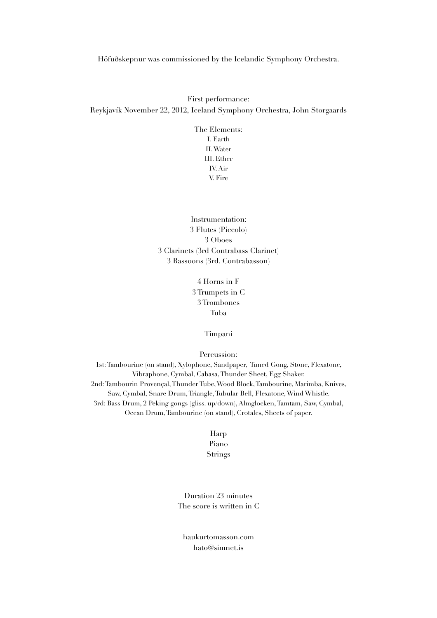Höfuðskepnur was commissioned by the Icelandic Symphony Orchestra.

First performance: Reykjavík November 22, 2012, Iceland Symphony Orchestra, John Storgaards

> The Elements: I. Earth II. Water III. Ether IV. Air V. Fire

Instrumentation: 3 Flutes (Piccolo) 3 Oboes 3 Clarinets (3rd Contrabass Clarinet) 3 Bassoons (3rd. Contrabasson)

> 4 Horns in F 3 Trumpets in C 3 Trombones Tuba

> > Timpani

Percussion:

1st: Tambourine (on stand), Xylophone, Sandpaper, Tuned Gong, Stone, Flexatone, Vibraphone, Cymbal, Cabasa, Thunder Sheet, Egg Shaker. 2nd: Tambourin Provençal, Thunder Tube, Wood Block, Tambourine, Marimba, Knives, Saw, Cymbal, Snare Drum, Triangle, Tubular Bell, Flexatone, Wind Whistle. 3rd: Bass Drum, 2 Peking gongs (gliss. up/down), Almglocken, Tamtam, Saw, Cymbal, Ocean Drum, Tambourine (on stand), Crotales, Sheets of paper.

> Harp Piano Strings

Duration 23 minutes The score is written in C

haukurtomasson.com hato@simnet.is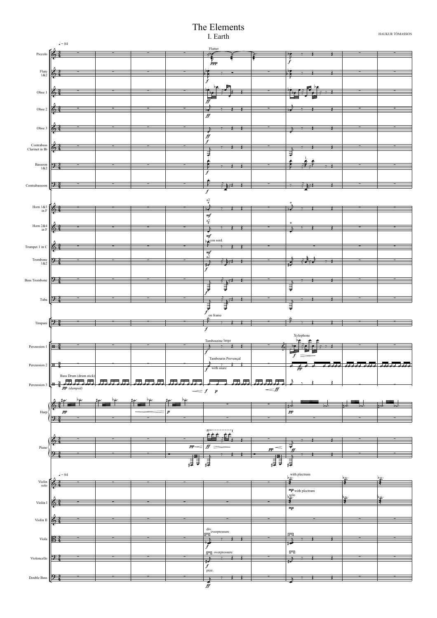## The Elements



 $f\hspace{-0.1cm}f$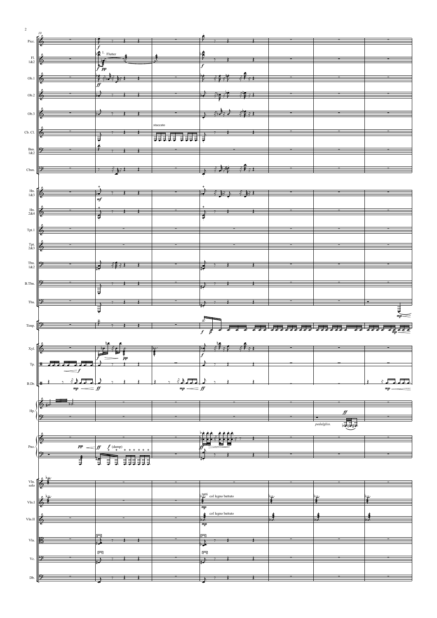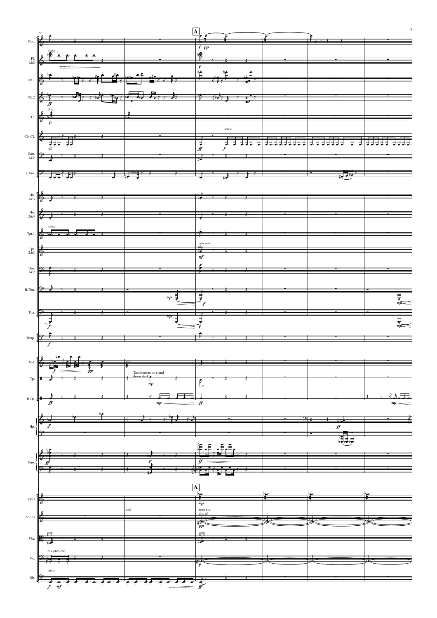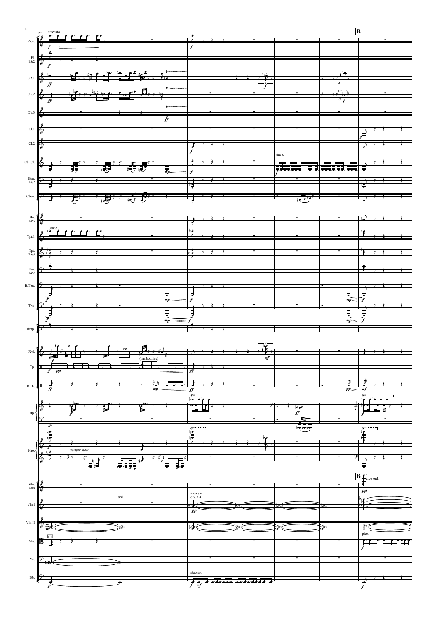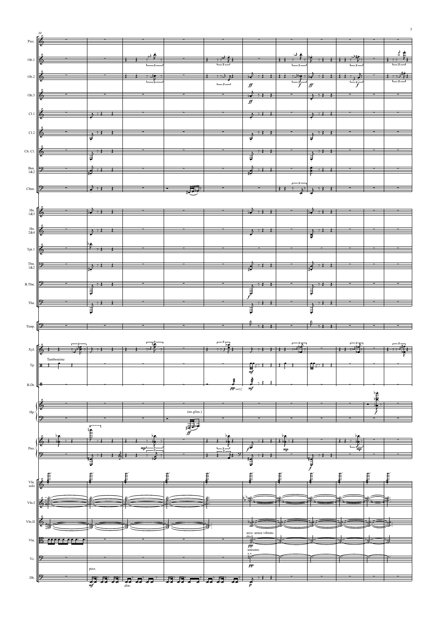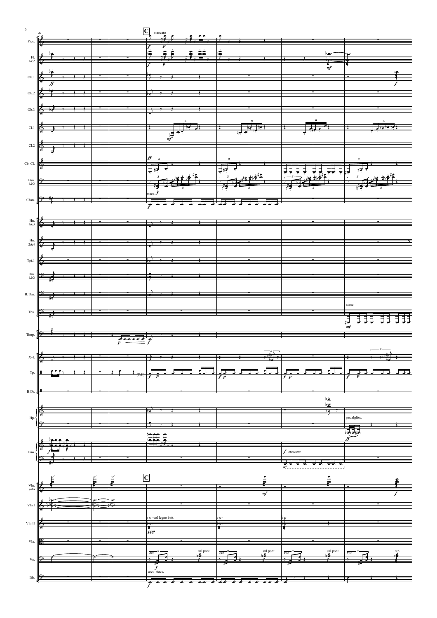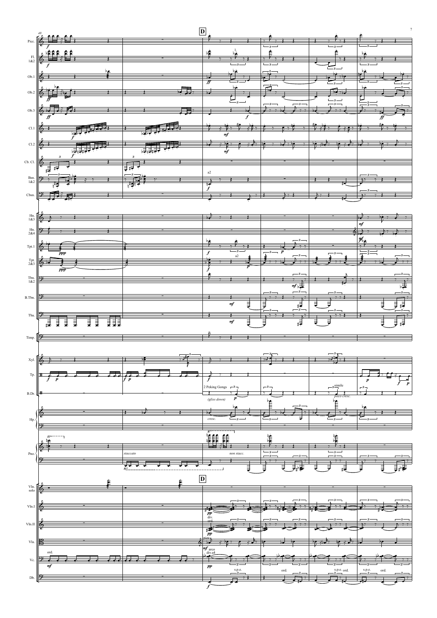